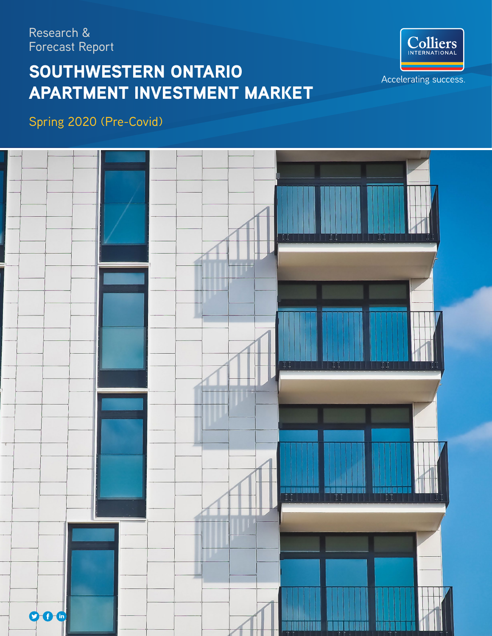Research & Forecast Report

## SOUTHWESTERN ONTARIO APARTMENT INVESTMENT MARKET



### Spring 2020 (Pre-Covid)

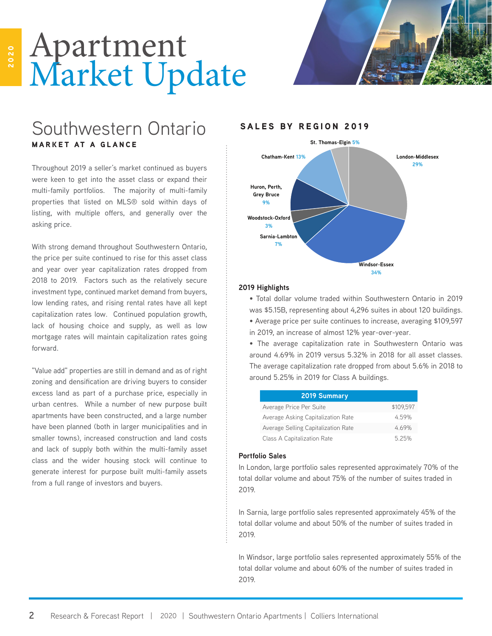

### Southwestern Ontario MARKET AT A GLANCE

Throughout 2019 a seller's market continued as buyers were keen to get into the asset class or expand their multi-family portfolios. The majority of multi-family properties that listed on MLS® sold within days of listing, with multiple offers, and generally over the asking price.

With strong demand throughout Southwestern Ontario, the price per suite continued to rise for this asset class and year over year capitalization rates dropped from 2018 to 2019. Factors such as the relatively secure investment type, continued market demand from buyers, low lending rates, and rising rental rates have all kept capitalization rates low. Continued population growth, lack of housing choice and supply, as well as low mortgage rates will maintain capitalization rates going forward.

"Value add" properties are still in demand and as of right zoning and densification are driving buyers to consider excess land as part of a purchase price, especially in urban centres. While a number of new purpose built apartments have been constructed, and a large number have been planned (both in larger municipalities and in smaller towns), increased construction and land costs and lack of supply both within the multi-family asset class and the wider housing stock will continue to generate interest for purpose built multi-family assets from a full range of investors and buyers.

#### SALES BY REGION 2019



#### **2019 Highlights**

• Total dollar volume traded within Southwestern Ontario in 2019 was \$5.15B, representing about 4,296 suites in about 120 buildings.

- Average price per suite continues to increase, averaging \$109,597 in 2019, an increase of almost 12% year-over-year.
- The average capitalization rate in Southwestern Ontario was around 4.69% in 2019 versus 5.32% in 2018 for all asset classes. The average capitalization rate dropped from about 5.6% in 2018 to around 5.25% in 2019 for Class A buildings.

| 2019 Summary                        |           |
|-------------------------------------|-----------|
| Average Price Per Suite             | \$109.597 |
| Average Asking Capitalization Rate  | 459%      |
| Average Selling Capitalization Rate | 469%      |
| Class A Capitalization Rate         | 525%      |

#### **Portfolio Sales**

In London, large portfolio sales represented approximately 70% of the total dollar volume and about 75% of the number of suites traded in 2019.

In Sarnia, large portfolio sales represented approximately 45% of the total dollar volume and about 50% of the number of suites traded in 2019.

In Windsor, large portfolio sales represented approximately 55% of the total dollar volume and about 60% of the number of suites traded in 2019.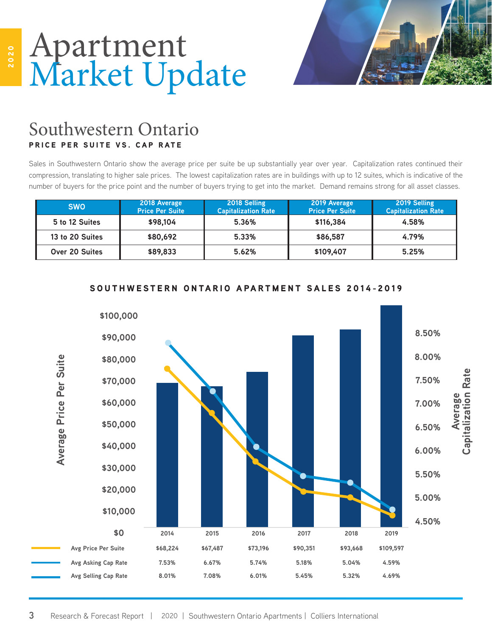

### Southwestern Ontario PRICE PER SUITE VS. CAP RATE

Sales in Southwestern Ontario show the average price per suite be up substantially year over year. Capitalization rates continued their compression, translating to higher sale prices. The lowest capitalization rates are in buildings with up to 12 suites, which is indicative of the number of buyers for the price point and the number of buyers trying to get into the market. Demand remains strong for all asset classes.

| <b>SWO</b>            | 2018 Average<br><b>Price Per Suite</b> | 2018 Selling<br><b>Capitalization Rate</b> | 2019 Average<br><b>Price Per Suite</b> | 2019 Selling<br><b>Capitalization Rate</b> |
|-----------------------|----------------------------------------|--------------------------------------------|----------------------------------------|--------------------------------------------|
| 5 to 12 Suites        | \$98,104                               | 5.36%                                      | \$116,384                              | 4.58%                                      |
| 13 to 20 Suites       | \$80,692                               | 5.33%                                      | \$86,587                               | 4.79%                                      |
| <b>Over 20 Suites</b> | \$89,833                               | 5.62%                                      | \$109,407                              | 5.25%                                      |



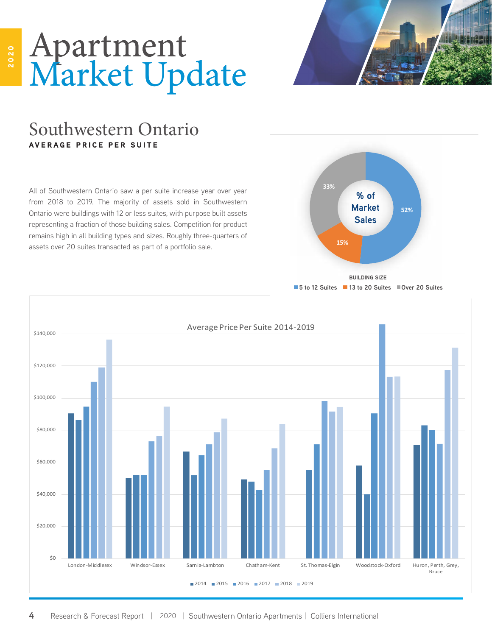

### Southwestern Ontario AVERAGE PRICE PER SUITE

All of Southwestern Ontario saw a per suite increase year over year from 2018 to 2019. The majority of assets sold in Southwestern Ontario were buildings with 12 or less suites, with purpose built assets representing a fraction of those building sales. Competition for product remains high in all building types and sizes. Roughly three-quarters of assets over 20 suites transacted as part of a portfolio sale.



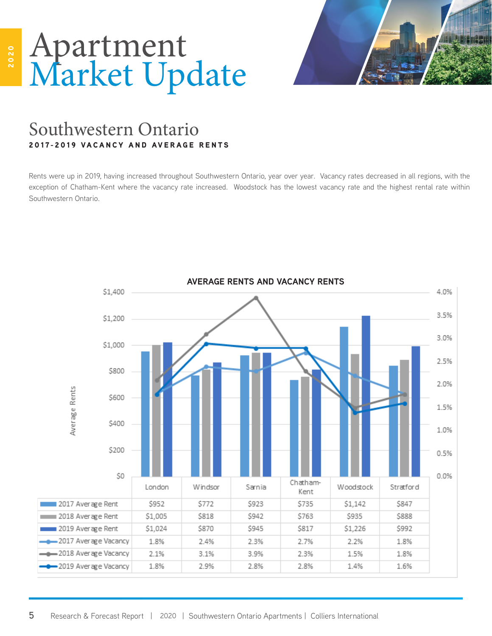

### Southwestern Ontario 2017-2019 VACANCY AND AVERAGE RENTS

Rents were up in 2019, having increased throughout Southwestern Ontario, year over year. Vacancy rates decreased in all regions, with the exception of Chatham-Kent where the vacancy rate increased. Woodstock has the lowest vacancy rate and the highest rental rate within Southwestern Ontario.

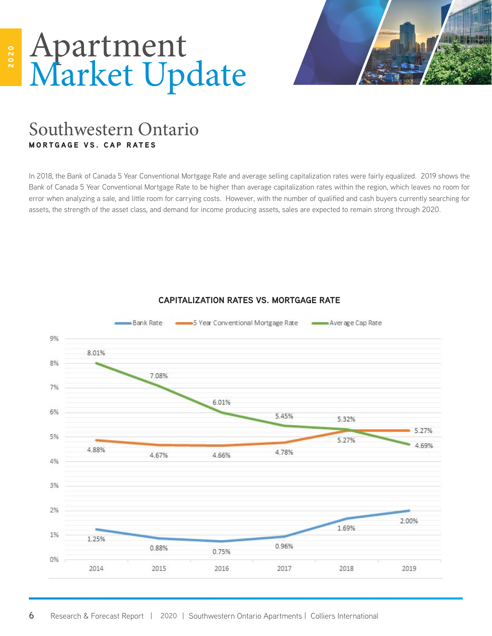

### Southwestern Ontario MORTGAGE VS. CAP RATES

In 2018, the Bank of Canada 5 Year Conventional Mortgage Rate and average selling capitalization rates were fairly equalized. 2019 shows the Bank of Canada 5 Year Conventional Mortgage Rate to be higher than average capitalization rates within the region, which leaves no room for error when analyzing a sale, and little room for carrying costs. However, with the number of qualified and cash buyers currently searching for assets, the strength of the asset class, and demand for income producing assets, sales are expected to remain strong through 2020.



#### **CAPITALIZATION RATES VS. MORTGAGE RATE**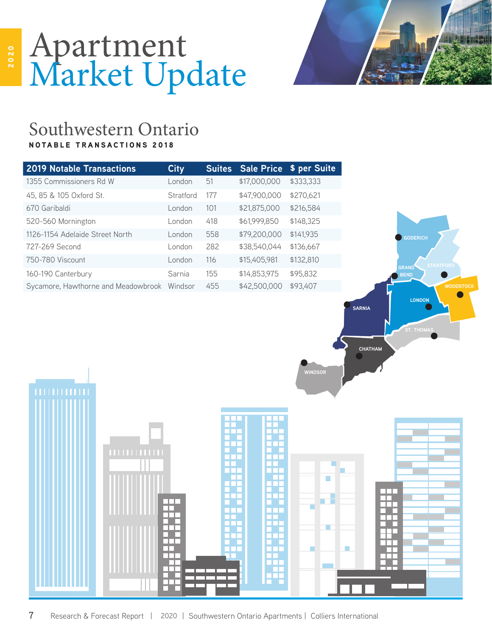

### Southwestern Ontario NOTABLE TRANSACTIONS 2018

| <b>2019 Notable Transactions</b>            | <b>City</b> | <b>Suites</b> | <b>Sale Price</b> | \$ per Suite |
|---------------------------------------------|-------------|---------------|-------------------|--------------|
| 1355 Commissioners Rd W                     | London      | 51            | \$17,000,000      | \$333,333    |
| 45, 85 & 105 Oxford St.                     | Stratford   | 177           | \$47,900,000      | \$270,621    |
| 670 Garibaldi                               | London      | 101           | \$21,875,000      | \$216,584    |
| 520-560 Mornington                          | London      | 418           | \$61,999,850      | \$148,325    |
| 1126-1154 Adelaide Street North             | London      | 558           | \$79,200,000      | \$141,935    |
| 727-269 Second                              | London      | 282           | \$38,540,044      | \$136,667    |
| 750-780 Viscount                            | London      | 116           | \$15,405,981      | \$132,810    |
| 160-190 Canterbury                          | Sarnia      | 155           | \$14,853,975      | \$95,832     |
| Sycamore, Hawthorne and Meadowbrook Windsor |             | 455           | \$42,500,000      | \$93,407     |



**GODERICH**